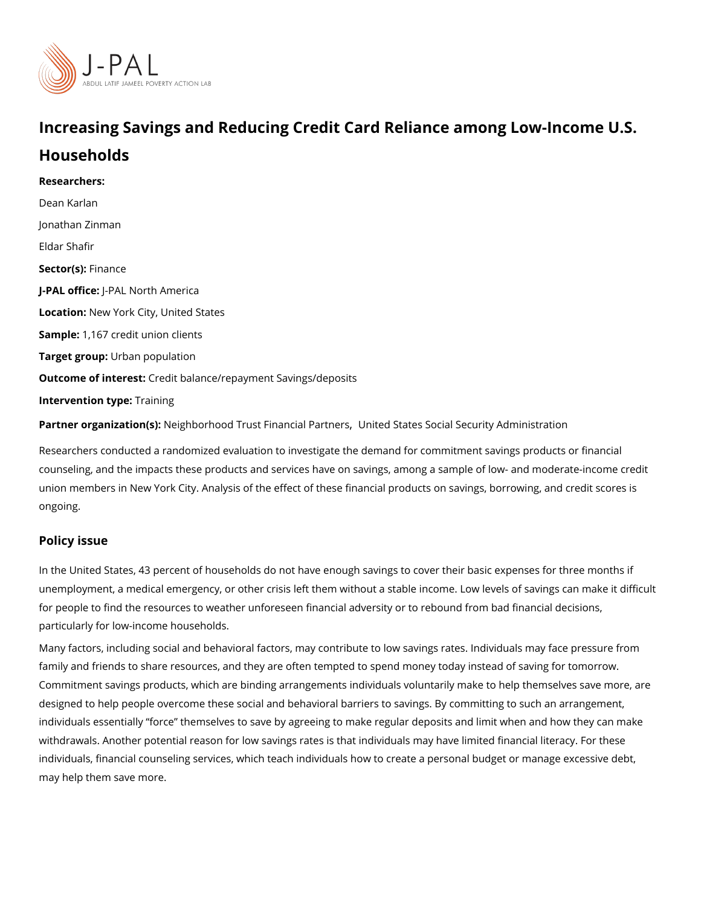# Increasing Savings and Reducing Credit Card Reliance amor Households

Researchers: [Dean Ka](https://www.povertyactionlab.org/person/karlan)rlan [Jonathan Z](https://www.povertyactionlab.org/person/zinman)inman Eldar Shafir Sector(Fsi)nance J-PAL of UicReal North America LocatioNew York City, United States Sample: 167 credit union clients Target groupban population Outcome of inteCresdit balance/repayment Savings/deposits Intervention  $t\bar{y}$  pæining

Partner organizatNioenigish): orhood Trust Finan[,](https://www.povertyactionlab.org/partners/neighborhood-trust-financial-partners) ciU anlit PeadrtShteartses Social Security Administration

Researchers conducted a randomized evaluation to investigate the demand for commitmen counseling, and the impacts these products and services have on savings, among a sampl union members in New York City. Analysis of the effect of these financial products on sav ongoing.

#### Policy issue

In the United States, 43 percent of households do not have enough savings to cover their unemployment, a medical emergency, or other crisis left them without a stable income. Lo for people to find the resources to weather unforeseen financial adversity or to rebound f particularly for low-income households.

Many factors, including social and behavioral factors, may contribute to low savings rates family and friends to share resources, and they are often tempted to spend money today i Commitment savings products, which are binding arrangements individuals voluntarily mak designed to help people overcome these social and behavioral barriers to savings. By con individuals essentially force themselves to save by agreeing to make regular deposits a withdrawals. Another potential reason for low savings rates is that individuals may have I individuals, financial counseling services, which teach individuals how to create a person may help them save more.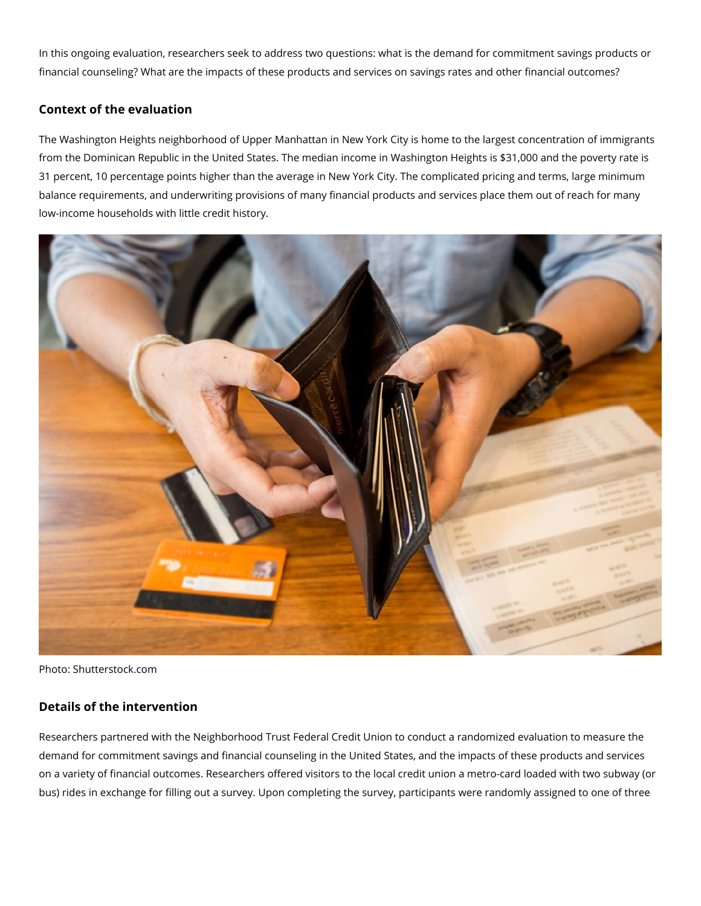In this ongoing evaluation, researchers seek to address two questions: what is the demand for commitment savings products or financial counseling? What are the impacts of these products and services on savings rates and other financial outcomes?

## **Context of the evaluation**

The Washington Heights neighborhood of Upper Manhattan in New York City is home to the largest concentration of immigrants from the Dominican Republic in the United States. The median income in Washington Heights is \$31,000 and the poverty rate is 31 percent, 10 percentage points higher than the average in New York City. The complicated pricing and terms, large minimum balance requirements, and underwriting provisions of many financial products and services place them out of reach for many low-income households with little credit history.



Photo: Shutterstock.com

### **Details of the intervention**

Researchers partnered with the Neighborhood Trust Federal Credit Union to conduct a randomized evaluation to measure the demand for commitment savings and financial counseling in the United States, and the impacts of these products and services on a variety of financial outcomes. Researchers offered visitors to the local credit union a metro-card loaded with two subway (or bus) rides in exchange for filling out a survey. Upon completing the survey, participants were randomly assigned to one of three